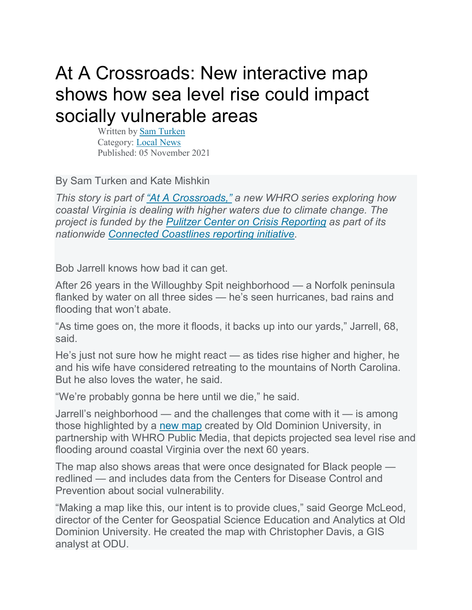## At A Crossroads: New interactive map shows how sea level rise could impact socially vulnerable areas

Written by [Sam Turken](https://whro.org/staff/sam) Category: [Local News](https://whro.org/news/local-news) Published: 05 November 2021

By Sam Turken and Kate Mishkin

*This story is part of ["At A Crossroads,"](https://atacrossroads.whro.org/) a new WHRO series exploring how coastal Virginia is dealing with higher waters due to climate change. The project is funded by the [Pulitzer Center on Crisis Reporting](https://pulitzercenter.org/) as part of its nationwide [Connected Coastlines reporting initiative.](https://pulitzercenter.org/connected-coastlines)*

Bob Jarrell knows how bad it can get.

After 26 years in the Willoughby Spit neighborhood — a Norfolk peninsula flanked by water on all three sides — he's seen hurricanes, bad rains and flooding that won't abate.

"As time goes on, the more it floods, it backs up into our yards," Jarrell, 68, said.

He's just not sure how he might react — as tides rise higher and higher, he and his wife have considered retreating to the mountains of North Carolina. But he also loves the water, he said.

"We're probably gonna be here until we die," he said.

Jarrell's neighborhood — and the challenges that come with it — is among those highlighted by a [new map](https://atacrossroads.whro.org/?page_id=185) created by Old Dominion University, in partnership with WHRO Public Media, that depicts projected sea level rise and flooding around coastal Virginia over the next 60 years.

The map also shows areas that were once designated for Black people redlined — and includes data from the Centers for Disease Control and Prevention about social vulnerability.

"Making a map like this, our intent is to provide clues," said George McLeod, director of the Center for Geospatial Science Education and Analytics at Old Dominion University. He created the map with Christopher Davis, a GIS analyst at ODU.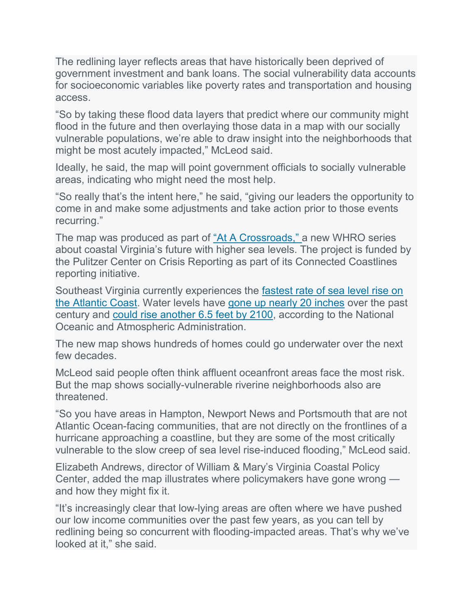The redlining layer reflects areas that have historically been deprived of government investment and bank loans. The social vulnerability data accounts for socioeconomic variables like poverty rates and transportation and housing access.

"So by taking these flood data layers that predict where our community might flood in the future and then overlaying those data in a map with our socially vulnerable populations, we're able to draw insight into the neighborhoods that might be most acutely impacted," McLeod said.

Ideally, he said, the map will point government officials to socially vulnerable areas, indicating who might need the most help.

"So really that's the intent here," he said, "giving our leaders the opportunity to come in and make some adjustments and take action prior to those events recurring."

The map was produced as part of ["At A Crossroads,"](https://atacrossroads.whro.org/) a new WHRO series about coastal Virginia's future with higher sea levels. The project is funded by the Pulitzer Center on Crisis Reporting as part of its Connected Coastlines reporting initiative.

Southeast Virginia currently experiences the [fastest rate of sea level rise on](https://coast.noaa.gov/states/stories/sea-level-rise-adaptation-advances-on-multiple-fronts.html)  [the Atlantic Coast.](https://coast.noaa.gov/states/stories/sea-level-rise-adaptation-advances-on-multiple-fronts.html) Water levels have [gone up nearly 20 inches](https://whro.org/news/local-news/11533-researchers-say-hampton-roads-faces-bleak-future-if-global-warming-continues-at-current-rate) over the past century and [could rise another 6.5 feet by 2100,](https://coast.noaa.gov/slr/#/layer/sce/0/-8536374.45644832/4438889.328396121/10/satellite/22/0.8/2100/interHigh/midAccretion) according to the National Oceanic and Atmospheric Administration.

The new map shows hundreds of homes could go underwater over the next few decades.

McLeod said people often think affluent oceanfront areas face the most risk. But the map shows socially-vulnerable riverine neighborhoods also are threatened.

"So you have areas in Hampton, Newport News and Portsmouth that are not Atlantic Ocean-facing communities, that are not directly on the frontlines of a hurricane approaching a coastline, but they are some of the most critically vulnerable to the slow creep of sea level rise-induced flooding," McLeod said.

Elizabeth Andrews, director of William & Mary's Virginia Coastal Policy Center, added the map illustrates where policymakers have gone wrong and how they might fix it.

"It's increasingly clear that low-lying areas are often where we have pushed our low income communities over the past few years, as you can tell by redlining being so concurrent with flooding-impacted areas. That's why we've looked at it," she said.